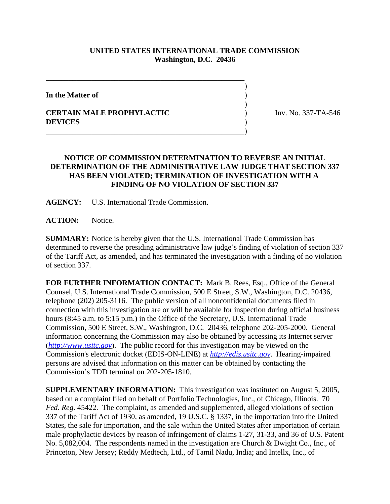## **UNITED STATES INTERNATIONAL TRADE COMMISSION Washington, D.C. 20436**

 $\overline{\phantom{a}}$ 

 $\overline{\phantom{a}}$ 

**In the Matter of** )

## **CERTAIN MALE PROPHYLACTIC** ) Inv. No. 337-TA-546 **DEVICES** )

## **NOTICE OF COMMISSION DETERMINATION TO REVERSE AN INITIAL DETERMINATION OF THE ADMINISTRATIVE LAW JUDGE THAT SECTION 337 HAS BEEN VIOLATED; TERMINATION OF INVESTIGATION WITH A FINDING OF NO VIOLATION OF SECTION 337**

**AGENCY:** U.S. International Trade Commission.

\_\_\_\_\_\_\_\_\_\_\_\_\_\_\_\_\_\_\_\_\_\_\_\_\_\_\_\_\_\_\_\_\_\_\_\_\_\_\_\_\_\_\_\_\_\_\_\_\_\_\_\_

\_\_\_\_\_\_\_\_\_\_\_\_\_\_\_\_\_\_\_\_\_\_\_\_\_\_\_\_\_\_\_\_\_\_\_\_\_\_\_\_\_\_\_\_\_\_\_\_\_\_\_\_)

**ACTION:** Notice.

**SUMMARY:** Notice is hereby given that the U.S. International Trade Commission has determined to reverse the presiding administrative law judge's finding of violation of section 337 of the Tariff Act, as amended, and has terminated the investigation with a finding of no violation of section 337.

**FOR FURTHER INFORMATION CONTACT:** Mark B. Rees, Esq., Office of the General Counsel, U.S. International Trade Commission, 500 E Street, S.W., Washington, D.C. 20436, telephone (202) 205-3116. The public version of all nonconfidential documents filed in connection with this investigation are or will be available for inspection during official business hours (8:45 a.m. to 5:15 p.m.) in the Office of the Secretary, U.S. International Trade Commission, 500 E Street, S.W., Washington, D.C. 20436, telephone 202-205-2000. General information concerning the Commission may also be obtained by accessing its Internet server (*http://www.usitc.gov*). The public record for this investigation may be viewed on the Commission's electronic docket (EDIS-ON-LINE) at *http://edis.usitc.gov*. Hearing-impaired persons are advised that information on this matter can be obtained by contacting the Commission's TDD terminal on 202-205-1810.

**SUPPLEMENTARY INFORMATION:** This investigation was instituted on August 5, 2005, based on a complaint filed on behalf of Portfolio Technologies, Inc., of Chicago, Illinois. 70 *Fed. Reg*. 45422. The complaint, as amended and supplemented, alleged violations of section 337 of the Tariff Act of 1930, as amended, 19 U.S.C. § 1337, in the importation into the United States, the sale for importation, and the sale within the United States after importation of certain male prophylactic devices by reason of infringement of claims 1-27, 31-33, and 36 of U.S. Patent No. 5,082,004. The respondents named in the investigation are Church & Dwight Co., Inc., of Princeton, New Jersey; Reddy Medtech, Ltd., of Tamil Nadu, India; and Intellx, Inc., of